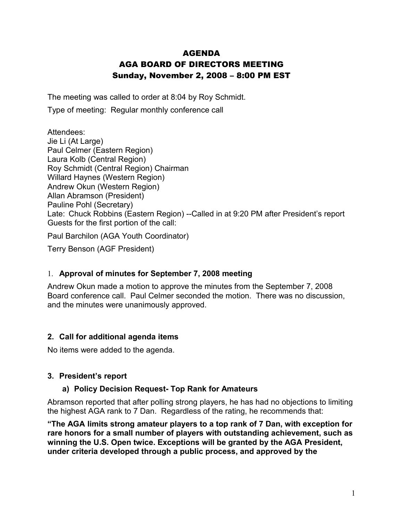# AGENDA AGA BOARD OF DIRECTORS MEETING Sunday, November 2, 2008 – 8:00 PM EST

The meeting was called to order at 8:04 by Roy Schmidt.

Type of meeting: Regular monthly conference call

Attendees: Jie Li (At Large) Paul Celmer (Eastern Region) Laura Kolb (Central Region) Roy Schmidt (Central Region) Chairman Willard Haynes (Western Region) Andrew Okun (Western Region) Allan Abramson (President) Pauline Pohl (Secretary) Late: Chuck Robbins (Eastern Region) --Called in at 9:20 PM after President's report Guests for the first portion of the call:

Paul Barchilon (AGA Youth Coordinator)

Terry Benson (AGF President)

## 1. **Approval of minutes for September 7, 2008 meeting**

Andrew Okun made a motion to approve the minutes from the September 7, 2008 Board conference call. Paul Celmer seconded the motion. There was no discussion, and the minutes were unanimously approved.

### **2. Call for additional agenda items**

No items were added to the agenda.

### **3. President's report**

### **a) Policy Decision Request- Top Rank for Amateurs**

Abramson reported that after polling strong players, he has had no objections to limiting the highest AGA rank to 7 Dan. Regardless of the rating, he recommends that:

**"The AGA limits strong amateur players to a top rank of 7 Dan, with exception for rare honors for a small number of players with outstanding achievement, such as winning the U.S. Open twice. Exceptions will be granted by the AGA President, under criteria developed through a public process, and approved by the**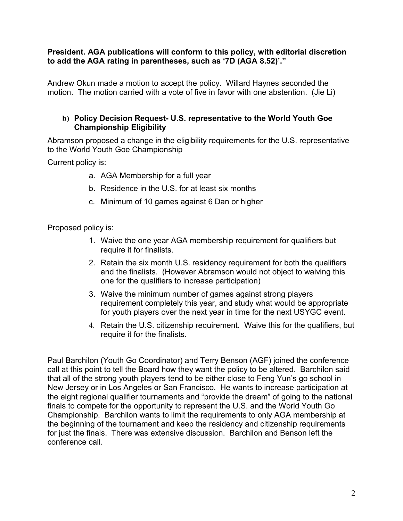#### **President. AGA publications will conform to this policy, with editorial discretion to add the AGA rating in parentheses, such as '7D (AGA 8.52)'."**

Andrew Okun made a motion to accept the policy. Willard Haynes seconded the motion. The motion carried with a vote of five in favor with one abstention. (Jie Li)

### **b) Policy Decision Request- U.S. representative to the World Youth Goe Championship Eligibility**

Abramson proposed a change in the eligibility requirements for the U.S. representative to the World Youth Goe Championship

Current policy is:

- a. AGA Membership for a full year
- b. Residence in the U.S. for at least six months
- c. Minimum of 10 games against 6 Dan or higher

Proposed policy is:

- 1. Waive the one year AGA membership requirement for qualifiers but require it for finalists.
- 2. Retain the six month U.S. residency requirement for both the qualifiers and the finalists. (However Abramson would not object to waiving this one for the qualifiers to increase participation)
- 3. Waive the minimum number of games against strong players requirement completely this year, and study what would be appropriate for youth players over the next year in time for the next USYGC event.
- 4. Retain the U.S. citizenship requirement. Waive this for the qualifiers, but require it for the finalists.

Paul Barchilon (Youth Go Coordinator) and Terry Benson (AGF) joined the conference call at this point to tell the Board how they want the policy to be altered. Barchilon said that all of the strong youth players tend to be either close to Feng Yun's go school in New Jersey or in Los Angeles or San Francisco. He wants to increase participation at the eight regional qualifier tournaments and "provide the dream" of going to the national finals to compete for the opportunity to represent the U.S. and the World Youth Go Championship. Barchilon wants to limit the requirements to only AGA membership at the beginning of the tournament and keep the residency and citizenship requirements for just the finals. There was extensive discussion. Barchilon and Benson left the conference call.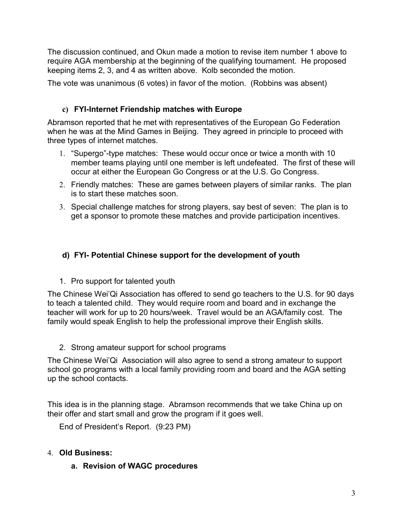The discussion continued, and Okun made a motion to revise item number 1 above to require AGA membership at the beginning of the qualifying tournament. He proposed keeping items 2, 3, and 4 as written above. Kolb seconded the motion.

The vote was unanimous (6 votes) in favor of the motion. (Robbins was absent)

### **c) FYI-Internet Friendship matches with Europe**

Abramson reported that he met with representatives of the European Go Federation when he was at the Mind Games in Beijing. They agreed in principle to proceed with three types of internet matches.

- 1. "Supergo"-type matches: These would occur once or twice a month with 10 member teams playing until one member is left undefeated. The first of these will occur at either the European Go Congress or at the U.S. Go Congress.
- 2. Friendly matches: These are games between players of similar ranks. The plan is to start these matches soon.
- 3. Special challenge matches for strong players, say best of seven: The plan is to get a sponsor to promote these matches and provide participation incentives.

## **d) FYI- Potential Chinese support for the development of youth**

1. Pro support for talented youth

The Chinese Wei'Qi Association has offered to send go teachers to the U.S. for 90 days to teach a talented child. They would require room and board and in exchange the teacher will work for up to 20 hours/week. Travel would be an AGA/family cost. The family would speak English to help the professional improve their English skills.

2. Strong amateur support for school programs

The Chinese Wei'Qi Association will also agree to send a strong amateur to support school go programs with a local family providing room and board and the AGA setting up the school contacts.

This idea is in the planning stage. Abramson recommends that we take China up on their offer and start small and grow the program if it goes well.

End of President's Report. (9:23 PM)

## 4. **Old Business:**

**a. Revision of WAGC procedures**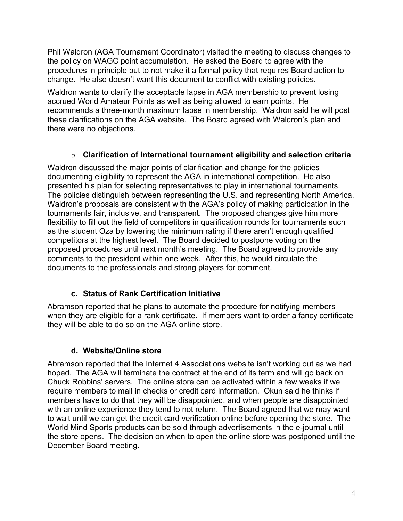Phil Waldron (AGA Tournament Coordinator) visited the meeting to discuss changes to the policy on WAGC point accumulation. He asked the Board to agree with the procedures in principle but to not make it a formal policy that requires Board action to change. He also doesn't want this document to conflict with existing policies.

Waldron wants to clarify the acceptable lapse in AGA membership to prevent losing accrued World Amateur Points as well as being allowed to earn points. He recommends a three-month maximum lapse in membership. Waldron said he will post these clarifications on the AGA website. The Board agreed with Waldron's plan and there were no objections.

## b. **Clarification of International tournament eligibility and selection criteria**

Waldron discussed the major points of clarification and change for the policies documenting eligibility to represent the AGA in international competition. He also presented his plan for selecting representatives to play in international tournaments. The policies distinguish between representing the U.S. and representing North America. Waldron's proposals are consistent with the AGA's policy of making participation in the tournaments fair, inclusive, and transparent. The proposed changes give him more flexibility to fill out the field of competitors in qualification rounds for tournaments such as the student Oza by lowering the minimum rating if there aren't enough qualified competitors at the highest level. The Board decided to postpone voting on the proposed procedures until next month's meeting. The Board agreed to provide any comments to the president within one week. After this, he would circulate the documents to the professionals and strong players for comment.

# **c. Status of Rank Certification Initiative**

Abramson reported that he plans to automate the procedure for notifying members when they are eligible for a rank certificate. If members want to order a fancy certificate they will be able to do so on the AGA online store.

## **d. Website/Online store**

Abramson reported that the Internet 4 Associations website isn't working out as we had hoped. The AGA will terminate the contract at the end of its term and will go back on Chuck Robbins' servers. The online store can be activated within a few weeks if we require members to mail in checks or credit card information. Okun said he thinks if members have to do that they will be disappointed, and when people are disappointed with an online experience they tend to not return. The Board agreed that we may want to wait until we can get the credit card verification online before opening the store. The World Mind Sports products can be sold through advertisements in the e-journal until the store opens. The decision on when to open the online store was postponed until the December Board meeting.